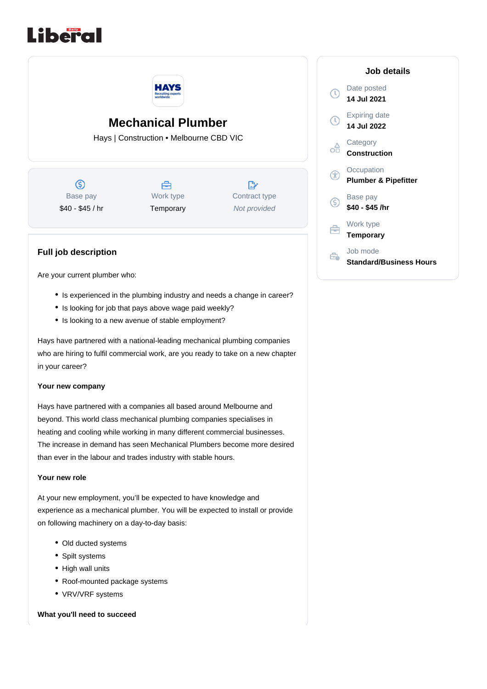



Are your current plumber who:

- Is experienced in the plumbing industry and needs a change in career?
- Is looking for job that pays above wage paid weekly?
- Is looking to a new avenue of stable employment?

Hays have partnered with a national-leading mechanical plumbing companies who are hiring to fulfil commercial work, are you ready to take on a new chapter in your career?

#### **Your new company**

Hays have partnered with a companies all based around Melbourne and beyond. This world class mechanical plumbing companies specialises in heating and cooling while working in many different commercial businesses. The increase in demand has seen Mechanical Plumbers become more desired than ever in the labour and trades industry with stable hours.

### **Your new role**

At your new employment, you'll be expected to have knowledge and experience as a mechanical plumber. You will be expected to install or provide on following machinery on a day-to-day basis:

- Old ducted systems
- Spilt systems
- High wall units
- Roof-mounted package systems
- VRV/VRF systems

**What you'll need to succeed**

# **Job details** Date posted  $\mathbb{C}$ **14 Jul 2021** Expiring date  $\left( 0\right)$ **14 Jul 2022 Category** ക് **Construction Occupation**  $^{\circledR}$ **Plumber & Pipefitter** Base pay (S) **\$40 - \$45 /hr** Work type ⊖ **Temporary** Job mode Ĝ. **Standard/Business Hours**